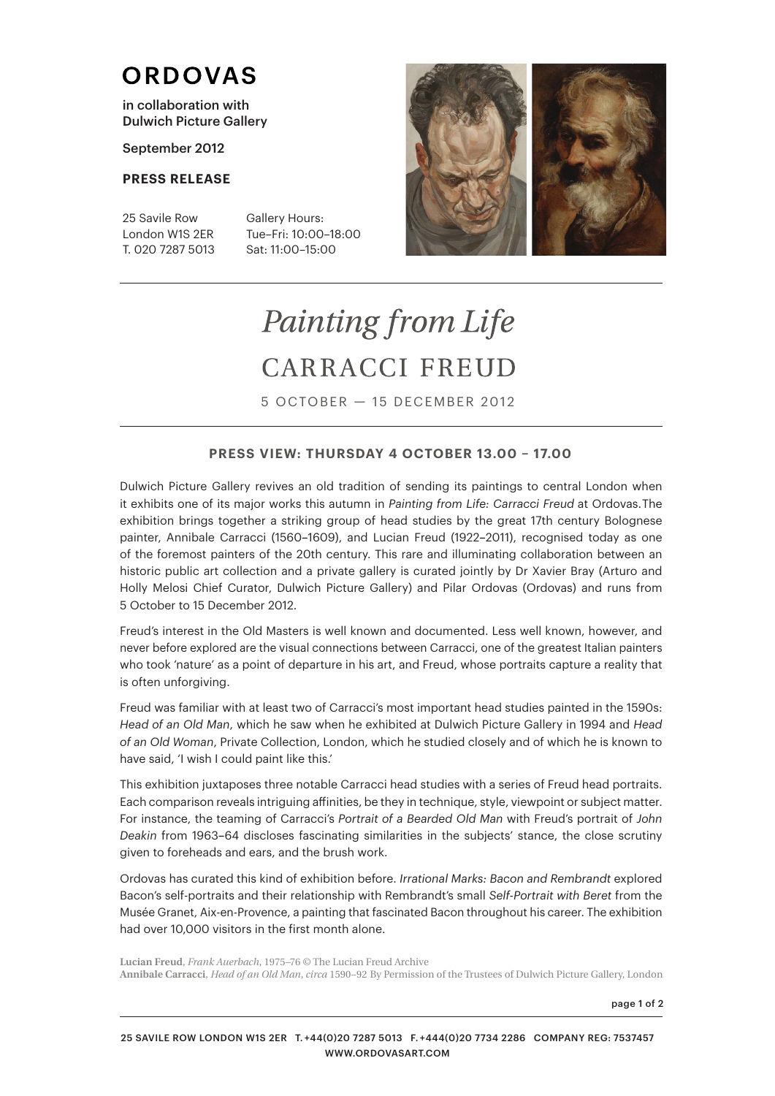## **ORDOVAS**

in collaboration with Dulwich Picture Gallery

September 2012

### **PRESS RELEASE**

25 Savile Row London W1S 2ER T. 020 7287 5013 Gallery Hours: Tue–Fri: 10:00–18:00 Sat: 11:00–15:00



# Painting from Life CARRACCI FREUD

5 OCTOBER — 15 DECEMBER 2012

### **PRESS VIEW: THURSDAY 4 OCTOBER 13.00 – 17.00**

Dulwich Picture Gallery revives an old tradition of sending its paintings to central London when it exhibits one of its major works this autumn in *Painting from Life: Carracci Freud* at Ordovas. The exhibition brings together a striking group of head studies by the great 17th century Bolognese painter, Annibale Carracci (1560*–*1609), and Lucian Freud (1922*–*2011), recognised today as one of the foremost painters of the 20th century. This rare and illuminating collaboration between an historic public art collection and a private gallery is curated jointly by Dr Xavier Bray (Arturo and Holly Melosi Chief Curator, Dulwich Picture Gallery) and Pilar Ordovas (Ordovas) and runs from 5 October to 15 December 2012.

Freud's interest in the Old Masters is well known and documented. Less well known, however, and never before explored are the visual connections between Carracci, one of the greatest Italian painters who took 'nature' as a point of departure in his art, and Freud, whose portraits capture a reality that is often unforgiving.

Freud was familiar with at least two of Carracci's most important head studies painted in the 1590s: *Head of an Old Man*, which he saw when he exhibited at Dulwich Picture Gallery in 1994 and *Head of an Old Woman*, Private Collection, London, which he studied closely and of which he is known to have said, 'I wish I could paint like this.'

This exhibition juxtaposes three notable Carracci head studies with a series of Freud head portraits. Each comparison reveals intriguing affinities, be they in technique, style, viewpoint or subject matter. For instance, the teaming of Carracci's *Portrait of a Bearded Old Man* with Freud's portrait of *John Deakin* from 1963*–*64 discloses fascinating similarities in the subjects' stance, the close scrutiny given to foreheads and ears, and the brush work.

Ordovas has curated this kind of exhibition before. *Irrational Marks: Bacon and Rembrandt* explored Bacon's self-portraits and their relationship with Rembrandt's small *Self-Portrait with Beret* from the Musée Granet, Aix-en-Provence, a painting that fascinated Bacon throughout his career. The exhibition had over 10,000 visitors in the first month alone.

**Lucian Freud**, *Frank Auerbach*, 1975–76 © The Lucian Freud Archive **Annibale Carracci**, *Head of an Old Man*, *circa* 1590−92 By Permission of the Trustees of Dulwich Picture Gallery, London

page 1 of 2